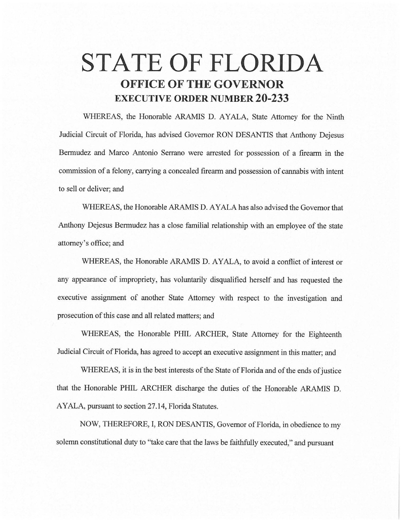# **STATE OF FLORIDA OFFICE OF THE GOVERNOR EXECUTIVE ORDER NUMBER 20-233**

WHEREAS, the Honorable ARAMIS D. AYALA, State Attorney for the Ninth Judicial Circuit of Florida, has advised Governor RON DESANTIS that Anthony Dejesus Bermudez and Marco Antonio Serrano were arrested for possession of a firearm in the commission of a felony, carrying a concealed firearm and possession of cannabis with intent to sell or deliver; and

WHEREAS, the Honorable ARAMIS D. AYALA has also advised the Governor that Anthony Dejesus Bermudez has a close familial relationship with an employee of the state attorney's office; and

WHEREAS, the Honorable ARAMIS D. AYALA, to avoid a conflict of interest or any appearance of impropriety, has voluntarily disqualified herself and has requested the executive assignment of another State Attorney with respect to the investigation and prosecution of this case and all related matters; and

WHEREAS, the Honorable PHIL ARCHER, State Attorney for the Eighteenth Judicial Circuit of Florida, has agreed to accept an executive assignment in this matter; and

WHEREAS, it is in the best interests of the State of Florida and of the ends of justice that the Honorable PHIL ARCHER discharge the duties of the Honorable ARAMIS D. AYALA, pursuant to section 27 .14, Florida Statutes.

NOW, THEREFORE, I, RON DESANTIS, Governor of Florida, in obedience to my solemn constitutional duty to "take care that the laws be faithfully executed," and pursuant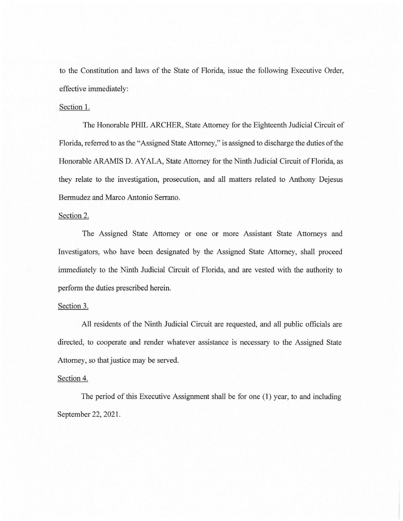to the Constitution and laws of the State of Florida, issue the following Executive Order, effective immediately:

## Section 1.

The Honorable PHIL ARCHER, State Attorney for the Eighteenth Judicial Circuit of Florida, referred to as the "Assigned State Attorney," is assigned to discharge the duties of the Honorable ARAMIS D. AYALA, State Attorney for the Ninth Judicial Circuit of Florida, as they relate to the investigation, prosecution, and all matters related to Anthony Dejesus Bermudez and Marco Antonio Serrano.

#### Section 2.

The Assigned State Attorney or one or more Assistant State Attorneys and Investigators, who have been designated by the Assigned State Attorney, shall proceed immediately to the Ninth Judicial Circuit of Florida, and are vested with the authority to perform the duties prescribed herein.

### Section 3.

All residents of the Ninth Judicial Circuit are requested, and all public officials are directed, to cooperate and render whatever assistance is necessary to the Assigned State Attorney, so that justice may be served.

## Section 4.

The period of this Executive Assignment shall be for one (1) year, to and including September 22, 2021.